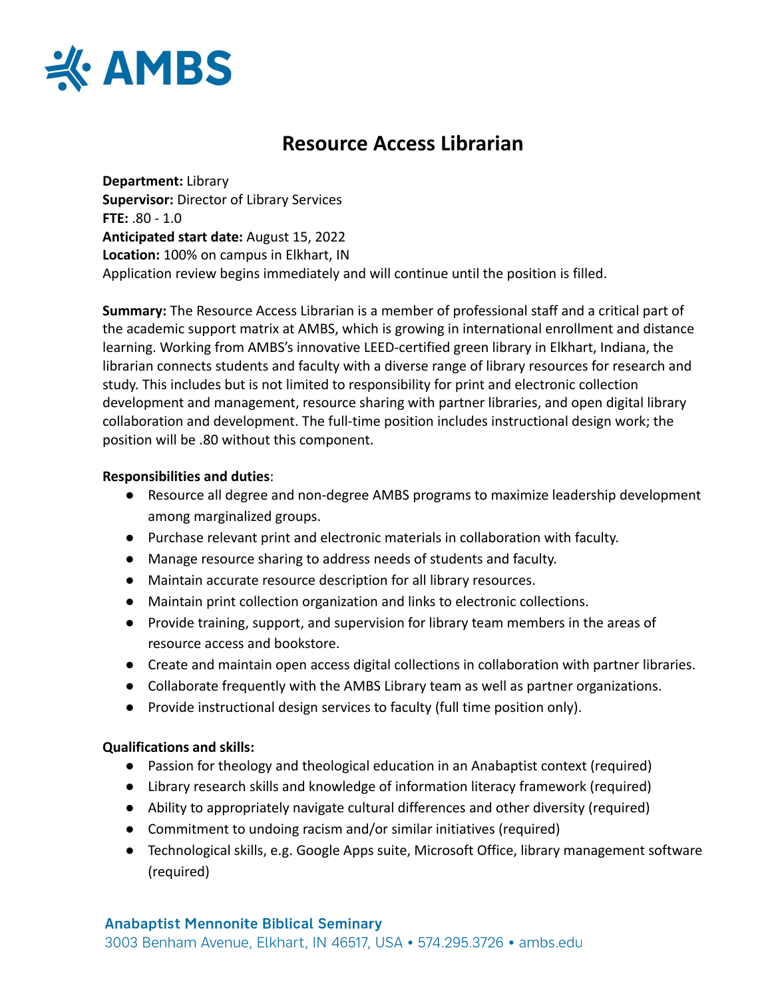

# **Resource Access Librarian**

**Department:** Library **Supervisor:** Director of Library Services **FTE:** .80 - 1.0 **Anticipated start date:** August 15, 2022 **Location:** 100% on campus in Elkhart, IN Application review begins immediately and will continue until the position is filled.

**Summary:** The Resource Access Librarian is a member of professional staff and a critical part of the academic support matrix at AMBS, which is growing in international enrollment and distance learning. Working from AMBS's innovative LEED-certified green library in Elkhart, Indiana, the librarian connects students and faculty with a diverse range of library resources for research and study. This includes but is not limited to responsibility for print and electronic collection development and management, resource sharing with partner libraries, and open digital library collaboration and development. The full-time position includes instructional design work; the position will be .80 without this component.

### **Responsibilities and duties**:

- Resource all degree and non-degree AMBS programs to maximize leadership development among marginalized groups.
- Purchase relevant print and electronic materials in collaboration with faculty.
- Manage resource sharing to address needs of students and faculty.
- Maintain accurate resource description for all library resources.
- Maintain print collection organization and links to electronic collections.
- Provide training, support, and supervision for library team members in the areas of resource access and bookstore.
- Create and maintain open access digital collections in collaboration with partner libraries.
- Collaborate frequently with the AMBS Library team as well as partner organizations.
- Provide instructional design services to faculty (full time position only).

### **Qualifications and skills:**

- Passion for theology and theological education in an Anabaptist context (required)
- Library research skills and knowledge of information literacy framework (required)
- Ability to appropriately navigate cultural differences and other diversity (required)
- Commitment to undoing racism and/or similar initiatives (required)
- Technological skills, e.g. Google Apps suite, Microsoft Office, library management software (required)

3003 Benham Avenue, Elkhart, IN 46517, USA • 574.295.3726 • ambs.edu